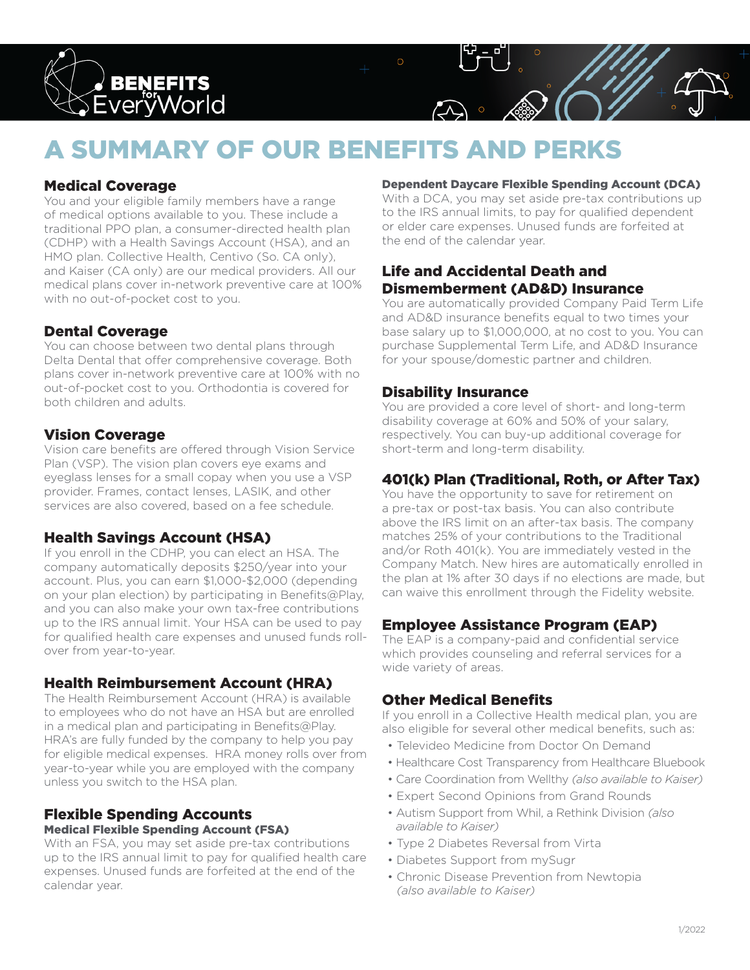

# A SUMMARY OF OUR BENEFITS AND PERKS

## Medical Coverage

You and your eligible family members have a range of medical options available to you. These include a traditional PPO plan, a consumer-directed health plan (CDHP) with a Health Savings Account (HSA), and an HMO plan. Collective Health, Centivo (So. CA only), and Kaiser (CA only) are our medical providers. All our medical plans cover in-network preventive care at 100% with no out-of-pocket cost to you.

## Dental Coverage

You can choose between two dental plans through Delta Dental that offer comprehensive coverage. Both plans cover in-network preventive care at 100% with no out-of-pocket cost to you. Orthodontia is covered for both children and adults.

## Vision Coverage

Vision care benefits are offered through Vision Service Plan (VSP). The vision plan covers eye exams and eyeglass lenses for a small copay when you use a VSP provider. Frames, contact lenses, LASIK, and other services are also covered, based on a fee schedule.

## Health Savings Account (HSA)

If you enroll in the CDHP, you can elect an HSA. The company automatically deposits \$250/year into your account. Plus, you can earn \$1,000-\$2,000 (depending on your plan election) by participating in Benefits@Play, and you can also make your own tax-free contributions up to the IRS annual limit. Your HSA can be used to pay for qualified health care expenses and unused funds rollover from year-to-year.

## Health Reimbursement Account (HRA)

The Health Reimbursement Account (HRA) is available to employees who do not have an HSA but are enrolled in a medical plan and participating in Benefits@Play. HRA's are fully funded by the company to help you pay for eligible medical expenses. HRA money rolls over from year-to-year while you are employed with the company unless you switch to the HSA plan.

## Flexible Spending Accounts Medical Flexible Spending Account (FSA)

With an FSA, you may set aside pre-tax contributions up to the IRS annual limit to pay for qualified health care expenses. Unused funds are forfeited at the end of the calendar year.

## Dependent Daycare Flexible Spending Account (DCA)

With a DCA, you may set aside pre-tax contributions up to the IRS annual limits, to pay for qualified dependent or elder care expenses. Unused funds are forfeited at the end of the calendar year.

## Life and Accidental Death and Dismemberment (AD&D) Insurance

You are automatically provided Company Paid Term Life and AD&D insurance benefits equal to two times your base salary up to \$1,000,000, at no cost to you. You can purchase Supplemental Term Life, and AD&D Insurance for your spouse/domestic partner and children.

## Disability Insurance

You are provided a core level of short- and long-term disability coverage at 60% and 50% of your salary, respectively. You can buy-up additional coverage for short-term and long-term disability.

# 401(k) Plan (Traditional, Roth, or After Tax)

You have the opportunity to save for retirement on a pre-tax or post-tax basis. You can also contribute above the IRS limit on an after-tax basis. The company matches 25% of your contributions to the Traditional and/or Roth 401(k). You are immediately vested in the Company Match. New hires are automatically enrolled in the plan at 1% after 30 days if no elections are made, but can waive this enrollment through the Fidelity website.

## Employee Assistance Program (EAP)

The EAP is a company-paid and confidential service which provides counseling and referral services for a wide variety of areas.

## Other Medical Benefits

If you enroll in a Collective Health medical plan, you are also eligible for several other medical benefits, such as:

- Televideo Medicine from Doctor On Demand
- Healthcare Cost Transparency from Healthcare Bluebook
- Care Coordination from Wellthy *(also available to Kaiser)*
- Expert Second Opinions from Grand Rounds
- Autism Support from Whil, a Rethink Division *(also available to Kaiser)*
- Type 2 Diabetes Reversal from Virta
- Diabetes Support from mySugr
- Chronic Disease Prevention from Newtopia *(also available to Kaiser)*